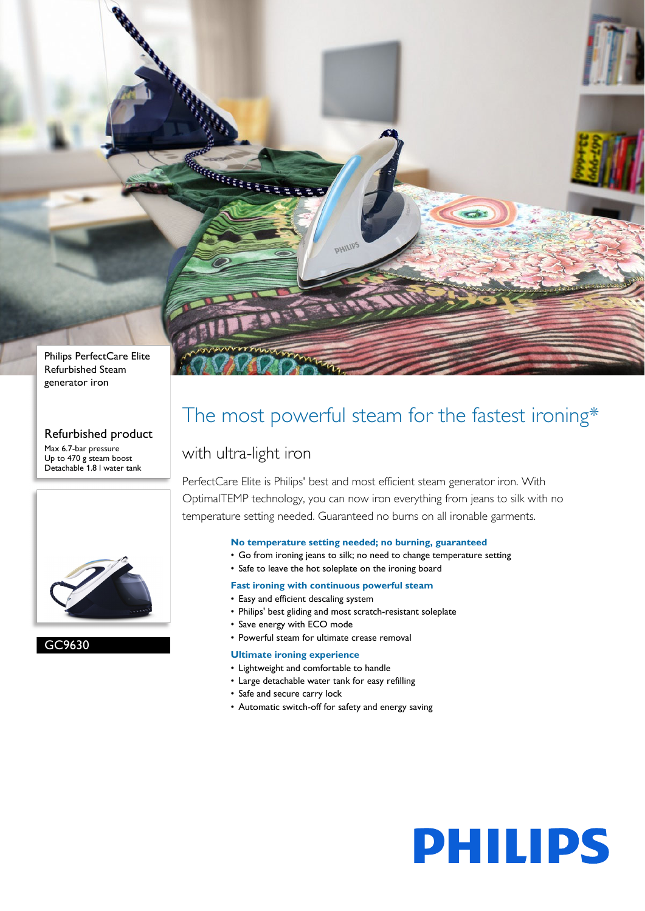

#### Refurbished product

Max 6.7-bar pressure Up to 470 g steam boost Detachable 1.8 l water tank



### GC9630

## The most powerful steam for the fastest ironing\*

### with ultra-light iron

MARKARA ET STATISTICS

PerfectCare Elite is Philips' best and most efficient steam generator iron. With OptimalTEMP technology, you can now iron everything from jeans to silk with no temperature setting needed. Guaranteed no burns on all ironable garments.

#### **No temperature setting needed; no burning, guaranteed**

• Go from ironing jeans to silk; no need to change temperature setting

**PHILIPS** 

• Safe to leave the hot soleplate on the ironing board

**PHILIP** 

- **Fast ironing with continuous powerful steam**
- Easy and efficient descaling system
- Philips' best gliding and most scratch-resistant soleplate
- Save energy with ECO mode
- Powerful steam for ultimate crease removal

#### **Ultimate ironing experience**

- Lightweight and comfortable to handle
- Large detachable water tank for easy refilling
- Safe and secure carry lock
- Automatic switch-off for safety and energy saving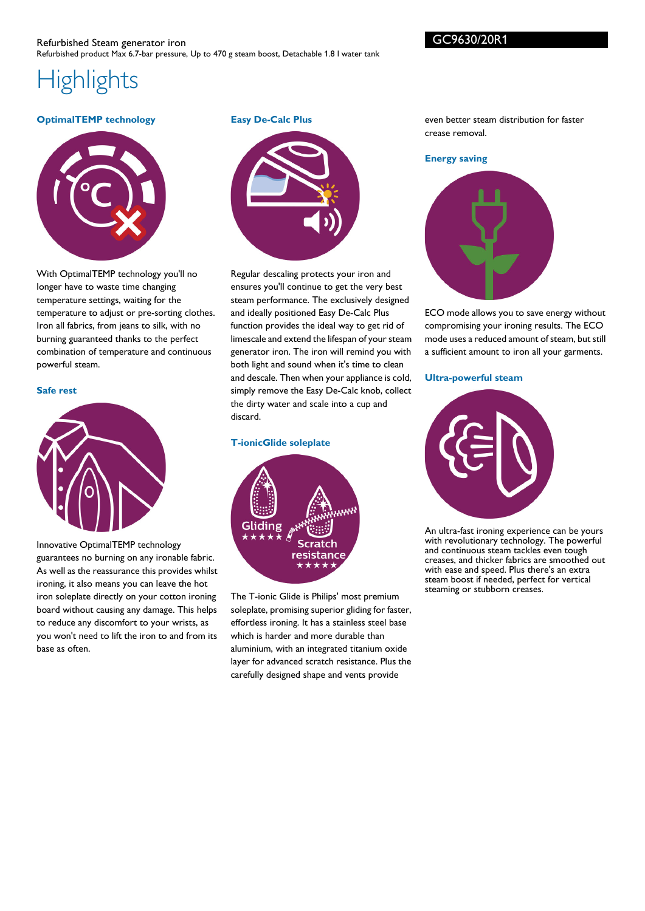# **Highlights**

#### **OptimalTEMP technology**



With OptimalTEMP technology you'll no longer have to waste time changing temperature settings, waiting for the temperature to adjust or pre-sorting clothes. Iron all fabrics, from jeans to silk, with no burning guaranteed thanks to the perfect combination of temperature and continuous powerful steam.

#### **Safe rest**



Innovative OptimalTEMP technology guarantees no burning on any ironable fabric. As well as the reassurance this provides whilst ironing, it also means you can leave the hot iron soleplate directly on your cotton ironing board without causing any damage. This helps to reduce any discomfort to your wrists, as you won't need to lift the iron to and from its base as often.

**Easy De-Calc Plus**



Regular descaling protects your iron and ensures you'll continue to get the very best steam performance. The exclusively designed and ideally positioned Easy De-Calc Plus function provides the ideal way to get rid of limescale and extend the lifespan of your steam generator iron. The iron will remind you with both light and sound when it's time to clean and descale. Then when your appliance is cold, simply remove the Easy De-Calc knob, collect the dirty water and scale into a cup and discard.

#### **T-ionicGlide soleplate**



The T-ionic Glide is Philips' most premium soleplate, promising superior gliding for faster, effortless ironing. It has a stainless steel base which is harder and more durable than aluminium, with an integrated titanium oxide layer for advanced scratch resistance. Plus the carefully designed shape and vents provide

even better steam distribution for faster crease removal.

#### **Energy saving**



ECO mode allows you to save energy without compromising your ironing results. The ECO mode uses a reduced amount of steam, but still a sufficient amount to iron all your garments.

#### **Ultra-powerful steam**



An ultra-fast ironing experience can be yours with revolutionary technology. The powerful and continuous steam tackles even tough creases, and thicker fabrics are smoothed out with ease and speed. Plus there's an extra steam boost if needed, perfect for vertical steaming or stubborn creases.